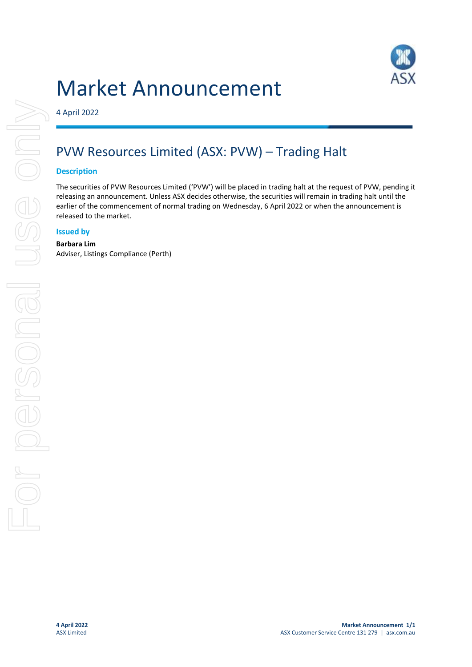# Market Announcement



4 April 2022

## PVW Resources Limited (ASX: PVW) – Trading Halt

#### **Description**

The securities of PVW Resources Limited ('PVW') will be placed in trading halt at the request of PVW, pending it releasing an announcement. Unless ASX decides otherwise, the securities will remain in trading halt until the earlier of the commencement of normal trading on Wednesday, 6 April 2022 or when the announcement is released to the market.

#### **Issued by**

### **Barbara Lim**

Adviser, Listings Compliance (Perth)